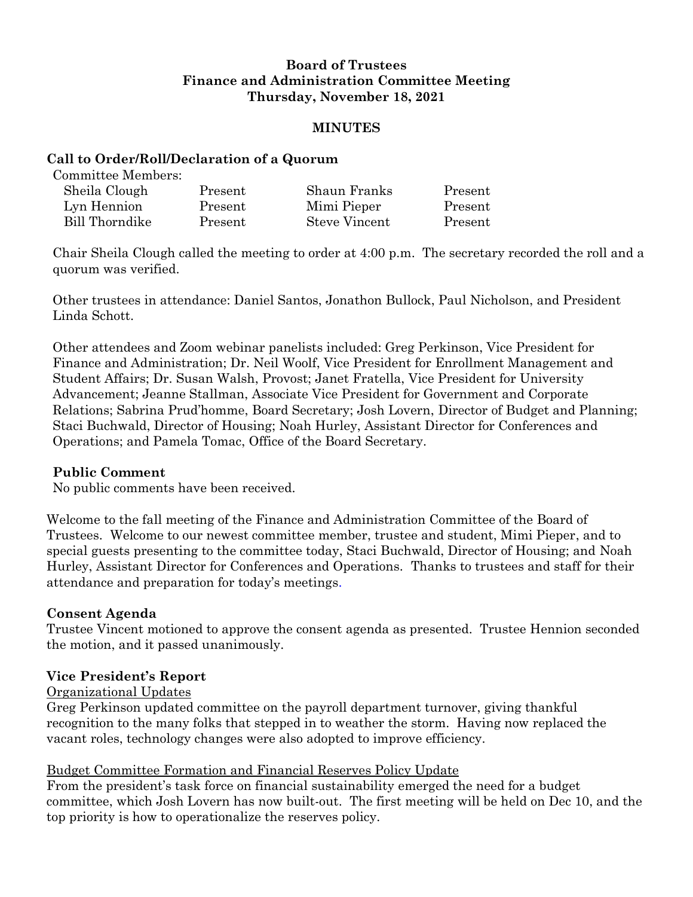# **Board of Trustees Finance and Administration Committee Meeting Thursday, November 18, 2021**

### **MINUTES**

### **Call to Order/Roll/Declaration of a Quorum**

Committee Members:

| Sheila Clough  | Present | Shaun Franks  | Present |
|----------------|---------|---------------|---------|
| Lyn Hennion    | Present | Mimi Pieper   | Present |
| Bill Thorndike | Present | Steve Vincent | Present |

Chair Sheila Clough called the meeting to order at 4:00 p.m. The secretary recorded the roll and a quorum was verified.

Other trustees in attendance: Daniel Santos, Jonathon Bullock, Paul Nicholson, and President Linda Schott.

Other attendees and Zoom webinar panelists included: Greg Perkinson, Vice President for Finance and Administration; Dr. Neil Woolf, Vice President for Enrollment Management and Student Affairs; Dr. Susan Walsh, Provost; Janet Fratella, Vice President for University Advancement; Jeanne Stallman, Associate Vice President for Government and Corporate Relations; Sabrina Prud'homme, Board Secretary; Josh Lovern, Director of Budget and Planning; Staci Buchwald, Director of Housing; Noah Hurley, Assistant Director for Conferences and Operations; and Pamela Tomac, Office of the Board Secretary.

## **Public Comment**

No public comments have been received.

Welcome to the fall meeting of the Finance and Administration Committee of the Board of Trustees. Welcome to our newest committee member, trustee and student, Mimi Pieper, and to special guests presenting to the committee today, Staci Buchwald, Director of Housing; and Noah Hurley, Assistant Director for Conferences and Operations. Thanks to trustees and staff for their attendance and preparation for today's meetings.

## **Consent Agenda**

Trustee Vincent motioned to approve the consent agenda as presented. Trustee Hennion seconded the motion, and it passed unanimously.

## **Vice President's Report**

## Organizational Updates

Greg Perkinson updated committee on the payroll department turnover, giving thankful recognition to the many folks that stepped in to weather the storm. Having now replaced the vacant roles, technology changes were also adopted to improve efficiency.

## Budget Committee Formation and Financial Reserves Policy Update

From the president's task force on financial sustainability emerged the need for a budget committee, which Josh Lovern has now built-out. The first meeting will be held on Dec 10, and the top priority is how to operationalize the reserves policy.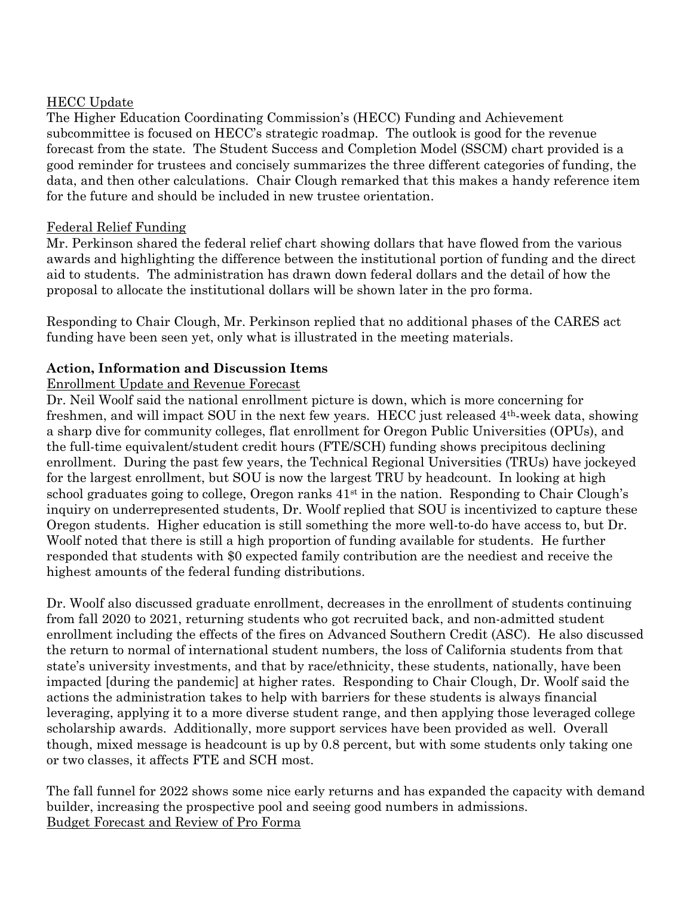## HECC Update

The Higher Education Coordinating Commission's (HECC) Funding and Achievement subcommittee is focused on HECC's strategic roadmap. The outlook is good for the revenue forecast from the state. The Student Success and Completion Model (SSCM) chart provided is a good reminder for trustees and concisely summarizes the three different categories of funding, the data, and then other calculations. Chair Clough remarked that this makes a handy reference item for the future and should be included in new trustee orientation.

## Federal Relief Funding

Mr. Perkinson shared the federal relief chart showing dollars that have flowed from the various awards and highlighting the difference between the institutional portion of funding and the direct aid to students. The administration has drawn down federal dollars and the detail of how the proposal to allocate the institutional dollars will be shown later in the pro forma.

Responding to Chair Clough, Mr. Perkinson replied that no additional phases of the CARES act funding have been seen yet, only what is illustrated in the meeting materials.

## **Action, Information and Discussion Items**

## Enrollment Update and Revenue Forecast

Dr. Neil Woolf said the national enrollment picture is down, which is more concerning for freshmen, and will impact SOU in the next few years. HECC just released 4th-week data, showing a sharp dive for community colleges, flat enrollment for Oregon Public Universities (OPUs), and the full-time equivalent/student credit hours (FTE/SCH) funding shows precipitous declining enrollment. During the past few years, the Technical Regional Universities (TRUs) have jockeyed for the largest enrollment, but SOU is now the largest TRU by headcount. In looking at high school graduates going to college, Oregon ranks  $41<sup>st</sup>$  in the nation. Responding to Chair Clough's inquiry on underrepresented students, Dr. Woolf replied that SOU is incentivized to capture these Oregon students. Higher education is still something the more well-to-do have access to, but Dr. Woolf noted that there is still a high proportion of funding available for students. He further responded that students with \$0 expected family contribution are the neediest and receive the highest amounts of the federal funding distributions.

Dr. Woolf also discussed graduate enrollment, decreases in the enrollment of students continuing from fall 2020 to 2021, returning students who got recruited back, and non-admitted student enrollment including the effects of the fires on Advanced Southern Credit (ASC). He also discussed the return to normal of international student numbers, the loss of California students from that state's university investments, and that by race/ethnicity, these students, nationally, have been impacted [during the pandemic] at higher rates. Responding to Chair Clough, Dr. Woolf said the actions the administration takes to help with barriers for these students is always financial leveraging, applying it to a more diverse student range, and then applying those leveraged college scholarship awards. Additionally, more support services have been provided as well. Overall though, mixed message is headcount is up by 0.8 percent, but with some students only taking one or two classes, it affects FTE and SCH most.

The fall funnel for 2022 shows some nice early returns and has expanded the capacity with demand builder, increasing the prospective pool and seeing good numbers in admissions. Budget Forecast and Review of Pro Forma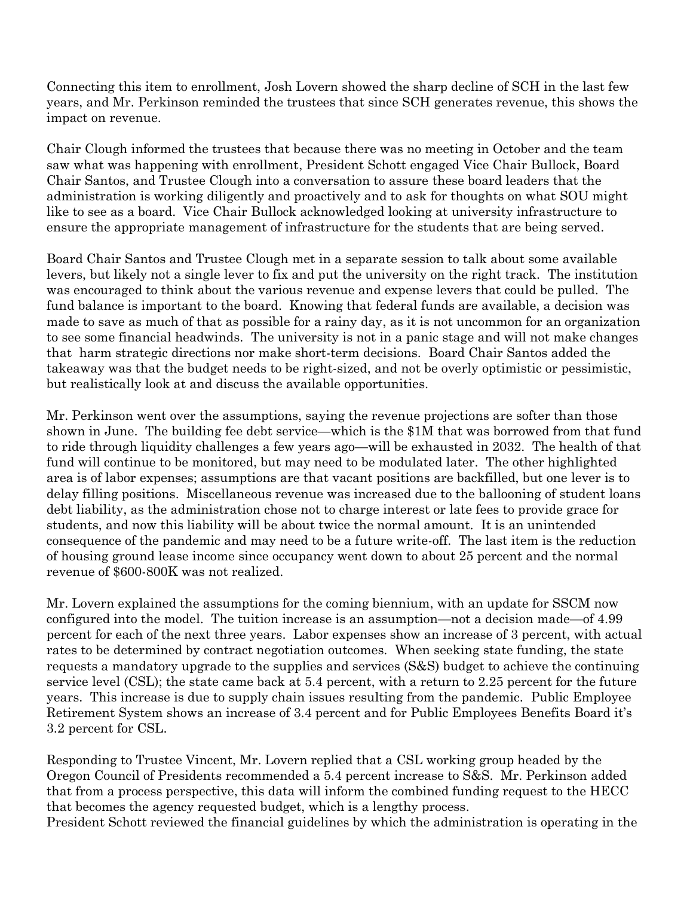Connecting this item to enrollment, Josh Lovern showed the sharp decline of SCH in the last few years, and Mr. Perkinson reminded the trustees that since SCH generates revenue, this shows the impact on revenue.

Chair Clough informed the trustees that because there was no meeting in October and the team saw what was happening with enrollment, President Schott engaged Vice Chair Bullock, Board Chair Santos, and Trustee Clough into a conversation to assure these board leaders that the administration is working diligently and proactively and to ask for thoughts on what SOU might like to see as a board. Vice Chair Bullock acknowledged looking at university infrastructure to ensure the appropriate management of infrastructure for the students that are being served.

Board Chair Santos and Trustee Clough met in a separate session to talk about some available levers, but likely not a single lever to fix and put the university on the right track. The institution was encouraged to think about the various revenue and expense levers that could be pulled. The fund balance is important to the board. Knowing that federal funds are available, a decision was made to save as much of that as possible for a rainy day, as it is not uncommon for an organization to see some financial headwinds. The university is not in a panic stage and will not make changes that harm strategic directions nor make short-term decisions. Board Chair Santos added the takeaway was that the budget needs to be right-sized, and not be overly optimistic or pessimistic, but realistically look at and discuss the available opportunities.

Mr. Perkinson went over the assumptions, saying the revenue projections are softer than those shown in June. The building fee debt service—which is the \$1M that was borrowed from that fund to ride through liquidity challenges a few years ago—will be exhausted in 2032. The health of that fund will continue to be monitored, but may need to be modulated later. The other highlighted area is of labor expenses; assumptions are that vacant positions are backfilled, but one lever is to delay filling positions. Miscellaneous revenue was increased due to the ballooning of student loans debt liability, as the administration chose not to charge interest or late fees to provide grace for students, and now this liability will be about twice the normal amount. It is an unintended consequence of the pandemic and may need to be a future write-off. The last item is the reduction of housing ground lease income since occupancy went down to about 25 percent and the normal revenue of \$600-800K was not realized.

Mr. Lovern explained the assumptions for the coming biennium, with an update for SSCM now configured into the model. The tuition increase is an assumption—not a decision made—of 4.99 percent for each of the next three years. Labor expenses show an increase of 3 percent, with actual rates to be determined by contract negotiation outcomes. When seeking state funding, the state requests a mandatory upgrade to the supplies and services (S&S) budget to achieve the continuing service level (CSL); the state came back at 5.4 percent, with a return to 2.25 percent for the future years. This increase is due to supply chain issues resulting from the pandemic. Public Employee Retirement System shows an increase of 3.4 percent and for Public Employees Benefits Board it's 3.2 percent for CSL.

Responding to Trustee Vincent, Mr. Lovern replied that a CSL working group headed by the Oregon Council of Presidents recommended a 5.4 percent increase to S&S. Mr. Perkinson added that from a process perspective, this data will inform the combined funding request to the HECC that becomes the agency requested budget, which is a lengthy process.

President Schott reviewed the financial guidelines by which the administration is operating in the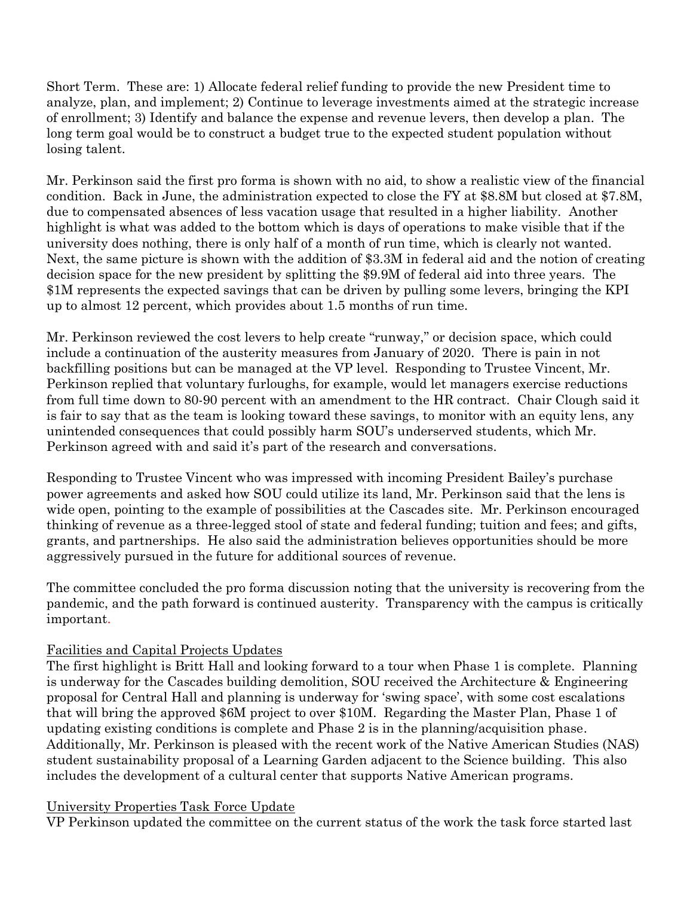Short Term. These are: 1) Allocate federal relief funding to provide the new President time to analyze, plan, and implement; 2) Continue to leverage investments aimed at the strategic increase of enrollment; 3) Identify and balance the expense and revenue levers, then develop a plan. The long term goal would be to construct a budget true to the expected student population without losing talent.

Mr. Perkinson said the first pro forma is shown with no aid, to show a realistic view of the financial condition. Back in June, the administration expected to close the FY at \$8.8M but closed at \$7.8M, due to compensated absences of less vacation usage that resulted in a higher liability. Another highlight is what was added to the bottom which is days of operations to make visible that if the university does nothing, there is only half of a month of run time, which is clearly not wanted. Next, the same picture is shown with the addition of \$3.3M in federal aid and the notion of creating decision space for the new president by splitting the \$9.9M of federal aid into three years. The \$1M represents the expected savings that can be driven by pulling some levers, bringing the KPI up to almost 12 percent, which provides about 1.5 months of run time.

Mr. Perkinson reviewed the cost levers to help create "runway," or decision space, which could include a continuation of the austerity measures from January of 2020. There is pain in not backfilling positions but can be managed at the VP level. Responding to Trustee Vincent, Mr. Perkinson replied that voluntary furloughs, for example, would let managers exercise reductions from full time down to 80-90 percent with an amendment to the HR contract. Chair Clough said it is fair to say that as the team is looking toward these savings, to monitor with an equity lens, any unintended consequences that could possibly harm SOU's underserved students, which Mr. Perkinson agreed with and said it's part of the research and conversations.

Responding to Trustee Vincent who was impressed with incoming President Bailey's purchase power agreements and asked how SOU could utilize its land, Mr. Perkinson said that the lens is wide open, pointing to the example of possibilities at the Cascades site. Mr. Perkinson encouraged thinking of revenue as a three-legged stool of state and federal funding; tuition and fees; and gifts, grants, and partnerships. He also said the administration believes opportunities should be more aggressively pursued in the future for additional sources of revenue.

The committee concluded the pro forma discussion noting that the university is recovering from the pandemic, and the path forward is continued austerity. Transparency with the campus is critically important.

## Facilities and Capital Projects Updates

The first highlight is Britt Hall and looking forward to a tour when Phase 1 is complete. Planning is underway for the Cascades building demolition, SOU received the Architecture & Engineering proposal for Central Hall and planning is underway for 'swing space', with some cost escalations that will bring the approved \$6M project to over \$10M. Regarding the Master Plan, Phase 1 of updating existing conditions is complete and Phase 2 is in the planning/acquisition phase. Additionally, Mr. Perkinson is pleased with the recent work of the Native American Studies (NAS) student sustainability proposal of a Learning Garden adjacent to the Science building. This also includes the development of a cultural center that supports Native American programs.

## University Properties Task Force Update

VP Perkinson updated the committee on the current status of the work the task force started last